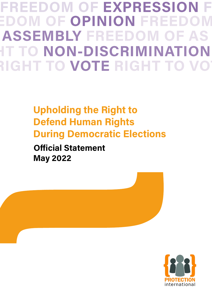**FREEDOM OF EXAMPLE TO NON-DISCRIMINATION FREEDOM OF EXPRESSION FREEDOM OF OPINION FREE FREEDOM OF ASSEMBLY FREEDOM OF AS RIGHT TO VOTE RIGHT T** 

## **Upholding the Right to Defend Human Rights During Democratic Elections**

**Official Statement May 2022**

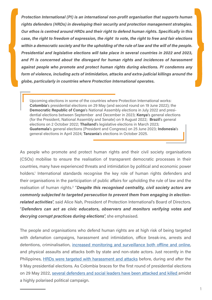*Protection International (PI) is an international non-profit organisation that supports human rights defenders (HRDs) in developing their security and protection management strategies. Our ethos is centred around HRDs and their right to defend human rights. Specifically in this case, the right to freedom of expression, the right to vote, the right to free and fair elections within a democratic society and for the upholding of the rule of law and the will of the people. Presidential and legislative elections will take place in several countries in 2022 and 2023, and PI is concerned about the disregard for human rights and incidences of harassment against people who promote and protect human rights during elections. PI condemns any form of violence, including acts of intimidation, attacks and extra-judicial killings around the globe, particularly in countries where Protection International operates.*

Upcoming elections in some of the countries where Protection International works: **Colombia**'s presidential elections on 29 May (and second round on 19 June 2022); the **Democratic Republic of Congo**'s National Assembly elections in July 2022 and presidential elections between September and December in 2023; **Kenya**'s general elections (for the President, National Assembly and Senate) on 9 August 2022; **Brazil**'s general elections on 2 October 2022; **Thailand**'s legislative elections in March 2023; **Guatemala**'s general elections (President and Congress) on 25 June 2023; **Indonesia**'s general elections in April 2024; **Tanzania**'s elections in October 2025.

As people who promote and protect human rights and their civil society organisations (CSOs) mobilise to ensure the realisation of transparent democratic processes in their countries, many have experienced threats and intimidation by political and economic power holders.<sup>1</sup> International standards recognise the key role of human rights defenders and their organisations in the participation of public affairs for upholding the rule of law and the realisation of human rights.<sup>2</sup> "Despite this recognised centrality, civil society actors are *commonly subjected to targeted persecution to prevent them from engaging in electionrelated activities*", said Alice Nah, President of Protection International's Board of Directors. "*Defenders can act as civic educators, observers and monitors verifying votes and decrying corrupt practices during elections*", she emphasised.

The people and organisations who defend human rights are at high risk of being targeted with defamation campaigns, harassment and intimidation, office break-ins, arrests and detentions, criminalisation, [increased monitoring and surveillance both offline and online](https://www.amnesty.org/en/latest/news/2021/07/the-pegasus-project/), and physical assaults and attacks both by state and non-state actors. Just recently in the Philippines, [HRDs were targeted with harassment and attacks](https://monitor.civicus.org/updates/2022/02/03/journalists-and-activists-remain-risk-philippines-election-looms/) before, during and after the 9 May presidential elections. As Colombia braces for the first round of presidential elections on 29 May 2022, [several defenders and social leaders have been attacked and killed](https://elpais.com/planeta-futuro/que-mueve-a/2022-04-29/diana-martinez-y-la-violencia-sin-fin-en-colombia.html) amidst a highly polarised political campaign.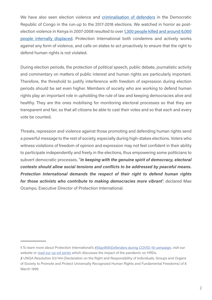We have also seen election violence and [criminalisation of defenders](https://www.protectioninternational.org/en/policy-maker-tools/criminalization-la-lucha-movement-drc-criminalisation-series-3) in the Democratic Republic of Congo in the run-up to the 2017-2018 elections. We watched in horror as postelection violence in Kenya in 2007-2008 resulted to over [1,300 people killed and around 6,000](https://www.csis.org/blogs/smart-global-health/post-election-violence-kenya-and-its-aftermath) [people internally displaced](https://www.csis.org/blogs/smart-global-health/post-election-violence-kenya-and-its-aftermath). Protection International both condemns and actively works against any form of violence, and calls on states to act proactively to ensure that the right to defend human rights is not violated.

During election periods, the protection of political speech, public debate, journalistic activity and commentary on matters of public interest and human rights are particularly important. Therefore, the threshold to justify interference with freedom of expression during election periods should be set even higher. Members of society who are working to defend human rights play an important role in upholding the rule of law and keeping democracies alive and healthy. They are the ones mobilising for monitoring electoral processes so that they are transparent and fair, so that all citizens be able to cast their votes and so that each and every vote be counted.

Threats, repression and violence against those promoting and defending human rights send a powerful message to the rest of society, especially during high-stakes elections. Voters who witness violations of freedom of opinion and expression may not feel confident in their ability to participate independently and freely in the elections, thus empowering some politicians to subvert democratic processes. "*In keeping with the genuine spirit of democracy, electoral contests should allow social tensions and conflicts to be addressed by peaceful means. Protection International demands the respect of their right to defend human rights for those activists who contribute to making democracies more vibrant*", declared Mae Ocampo, Executive Director of Protection International.

**<sup>1</sup>** To learn more about Protection International's [#StayWithDefenders during COVID-19 campaign](https://www.protectioninternational.org/en/news/staywithdefenders-pis-global-campaign-right-defend-human-rights-times-covid-19), visit our website or [read our op-ed series](https://www.openglobalrights.org/risking-your-life-for-human-rights-during-a-pandemic/) which discusses the impact of the pandemic on HRDs.

**<sup>2</sup>** UNGA Resolution 53/144 (Declaration on the Right and Responsibility of Individuals, Groups and Organs of Society to Promote and Protect Universally Recognized Human Rights and Fundamental Freedoms) of 8 March 1999.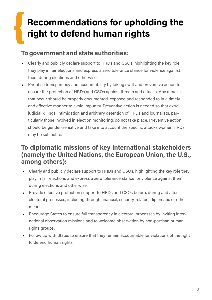# **Recommendations for upholding the right to defend human rights**

#### **To government and state authorities:**

- Clearly and publicly declare support to HRDs and CSOs, highlighting the key role they play in fair elections and express a zero tolerance stance for violence against them during elections and otherwise.
- Prioritise transparency and accountability by taking swift and preventive action to ensure the protection of HRDs and CSOs against threats and attacks. Any attacks that occur should be properly documented, exposed and responded to in a timely and effective manner to avoid impunity. Preventive action is needed so that extra judicial killings, intimidation and arbitrary detention of HRDs and journalists, particularly those involved in election monitoring, do not take place. Preventive action should be gender-sensitive and take into account the specific attacks women HRDs may be subject to.

#### **To diplomatic missions of key international stakeholders (namely the United Nations, the European Union, the U.S., among others):**

- Clearly and publicly declare support to HRDs and CSOs, highlighting the key role they play in fair elections and express a zero tolerance stance for violence against them during elections and otherwise.
- Provide effective protection support to HRDs and CSOs before, during and after electoral processes, including through financial, security-related, diplomatic or other means.
- Encourage States to ensure full transparency in electoral processes by inviting international observation missions and to welcome observation by non-partisan human rights groups.
- Follow up with States to ensure that they remain accountable for violations of the right to defend human rights.